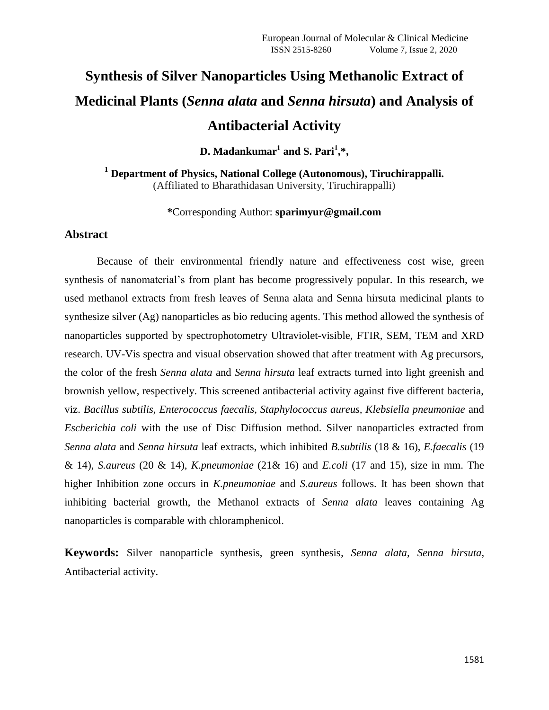# **Synthesis of Silver Nanoparticles Using Methanolic Extract of Medicinal Plants (***Senna alata* **and** *Senna hirsuta***) and Analysis of Antibacterial Activity**

 $D.$  Madankumar<sup>1</sup> and S. Pari<sup>1</sup>,\*,

**<sup>1</sup> Department of Physics, National College (Autonomous), Tiruchirappalli.** (Affiliated to Bharathidasan University, Tiruchirappalli)

## **\***Corresponding Author: **sparimyur@gmail.com**

## **Abstract**

Because of their environmental friendly nature and effectiveness cost wise, green synthesis of nanomaterial's from plant has become progressively popular. In this research, we used methanol extracts from fresh leaves of Senna alata and Senna hirsuta medicinal plants to synthesize silver (Ag) nanoparticles as bio reducing agents. This method allowed the synthesis of nanoparticles supported by spectrophotometry Ultraviolet-visible, FTIR, SEM, TEM and XRD research. UV-Vis spectra and visual observation showed that after treatment with Ag precursors, the color of the fresh *Senna alata* and *Senna hirsuta* leaf extracts turned into light greenish and brownish yellow, respectively. This screened antibacterial activity against five different bacteria, viz. *Bacillus subtilis, Enterococcus faecalis, Staphylococcus aureus, Klebsiella pneumoniae* and *Escherichia coli* with the use of Disc Diffusion method. Silver nanoparticles extracted from *Senna alata* and *Senna hirsuta* leaf extracts, which inhibited *B.subtilis* (18 & 16), *E.faecalis* (19 & 14), *S.aureus* (20 & 14), *K.pneumoniae* (21& 16) and *E.coli* (17 and 15), size in mm. The higher Inhibition zone occurs in *K.pneumoniae* and *S.aureus* follows. It has been shown that inhibiting bacterial growth, the Methanol extracts of *Senna alata* leaves containing Ag nanoparticles is comparable with chloramphenicol.

**Keywords:** Silver nanoparticle synthesis, green synthesis*, Senna alata, Senna hirsuta*, Antibacterial activity.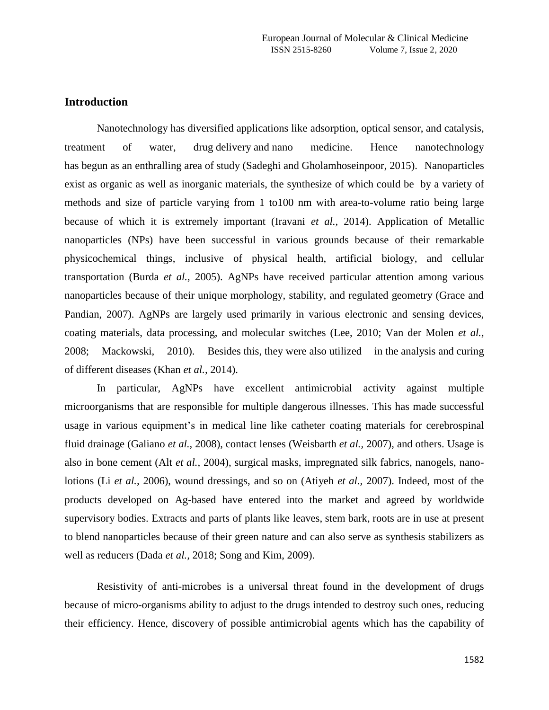# **Introduction**

Nanotechnology has diversified applications like adsorption, optical sensor, and catalysis, treatment of water, drug delivery and nano medicine. Hence nanotechnology has begun as an enthralling area of study (Sadeghi and Gholamhoseinpoor, 2015). Nanoparticles exist as organic as well as inorganic materials, the synthesize of which could be by a variety of methods and size of particle varying from 1 to100 nm with area-to-volume ratio being large because of which it is extremely important (Iravani *et al.,* 2014). Application of Metallic nanoparticles (NPs) have been successful in various grounds because of their remarkable physicochemical things, inclusive of physical health, artificial biology, and cellular transportation (Burda *et al.,* 2005). AgNPs have received particular attention among various nanoparticles because of their unique morphology, stability, and regulated geometry (Grace and Pandian, 2007). AgNPs are largely used primarily in various electronic and sensing devices, coating materials, data processing, and molecular switches (Lee, 2010; Van der Molen *et al.,* 2008; Mackowski, 2010). Besides this, they were also utilized in the analysis and curing of different diseases (Khan *et al.,* 2014).

In particular, AgNPs have excellent antimicrobial activity against multiple microorganisms that are responsible for multiple dangerous illnesses. This has made successful usage in various equipment's in medical line like catheter coating materials for cerebrospinal fluid drainage (Galiano *et al.,* 2008), contact lenses (Weisbarth *et al.,* 2007), and others. Usage is also in bone cement (Alt *et al.,* 2004), surgical masks, impregnated silk fabrics, nanogels, nanolotions (Li *et al.,* 2006), wound dressings, and so on (Atiyeh *et al.,* 2007). Indeed, most of the products developed on Ag-based have entered into the market and agreed by worldwide supervisory bodies. Extracts and parts of plants like leaves, stem bark, roots are in use at present to blend nanoparticles because of their green nature and can also serve as synthesis stabilizers as well as reducers (Dada *et al.,* 2018; Song and Kim, 2009).

Resistivity of anti-microbes is a universal threat found in the development of drugs because of micro-organisms ability to adjust to the drugs intended to destroy such ones, reducing their efficiency. Hence, discovery of possible antimicrobial agents which has the capability of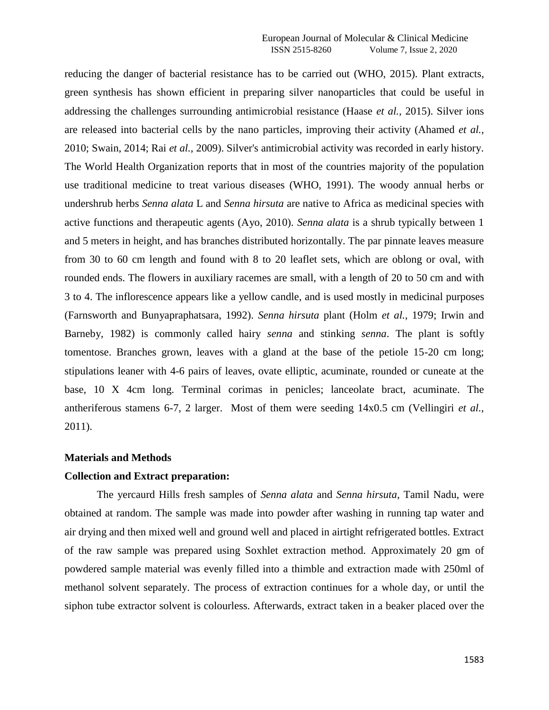reducing the danger of bacterial resistance has to be carried out (WHO, 2015). Plant extracts, green synthesis has shown efficient in preparing silver nanoparticles that could be useful in addressing the challenges surrounding antimicrobial resistance (Haase *et al.,* 2015). Silver ions are released into bacterial cells by the nano particles, improving their activity (Ahamed *et al.,* 2010; Swain, 2014; Rai *et al.,* 2009). Silver's antimicrobial activity was recorded in early history. The World Health Organization reports that in most of the countries majority of the population use traditional medicine to treat various diseases (WHO, 1991). The woody annual herbs or undershrub herbs *Senna alata* L and *Senna hirsuta* are native to Africa as medicinal species with active functions and therapeutic agents (Ayo, 2010). *Senna alata* is a shrub typically between 1 and 5 meters in height, and has branches distributed horizontally. The par pinnate leaves measure from 30 to 60 cm length and found with 8 to 20 leaflet sets, which are oblong or oval, with rounded ends. The flowers in auxiliary racemes are small, with a length of 20 to 50 cm and with 3 to 4. The inflorescence appears like a yellow candle, and is used mostly in medicinal purposes (Farnsworth and Bunyapraphatsara, 1992). *Senna hirsuta* plant (Holm *et al.,* 1979; Irwin and Barneby, 1982) is commonly called hairy *senna* and stinking *senna*. The plant is softly tomentose. Branches grown, leaves with a gland at the base of the petiole 15-20 cm long; stipulations leaner with 4-6 pairs of leaves, ovate elliptic, acuminate, rounded or cuneate at the base, 10 X 4cm long. Terminal corimas in penicles; lanceolate bract, acuminate. The antheriferous stamens 6-7, 2 larger. Most of them were seeding 14x0.5 cm (Vellingiri *et al.,* 2011).

### **Materials and Methods**

#### **Collection and Extract preparation:**

The yercaurd Hills fresh samples of *Senna alata* and *Senna hirsuta*, Tamil Nadu, were obtained at random. The sample was made into powder after washing in running tap water and air drying and then mixed well and ground well and placed in airtight refrigerated bottles. Extract of the raw sample was prepared using Soxhlet extraction method. Approximately 20 gm of powdered sample material was evenly filled into a thimble and extraction made with 250ml of methanol solvent separately. The process of extraction continues for a whole day, or until the siphon tube extractor solvent is colourless. Afterwards, extract taken in a beaker placed over the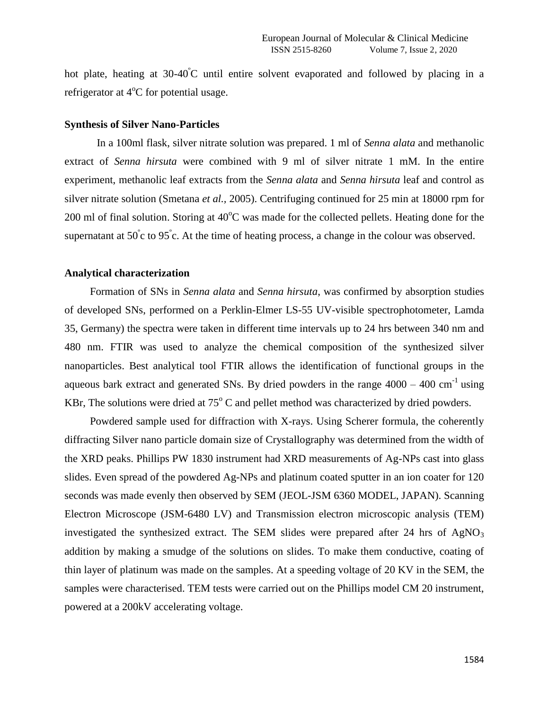hot plate, heating at  $30-40^{\circ}$ C until entire solvent evaporated and followed by placing in a refrigerator at  $4^{\circ}$ C for potential usage.

## **Synthesis of Silver Nano-Particles**

In a 100ml flask, silver nitrate solution was prepared. 1 ml of *Senna alata* and methanolic extract of *Senna hirsuta* were combined with 9 ml of silver nitrate 1 mM. In the entire experiment, methanolic leaf extracts from the *Senna alata* and *Senna hirsuta* leaf and control as silver nitrate solution (Smetana *et al.,* 2005). Centrifuging continued for 25 min at 18000 rpm for 200 ml of final solution. Storing at  $40^{\circ}$ C was made for the collected pellets. Heating done for the supernatant at  $50^{\circ}$ c to  $95^{\circ}$ c. At the time of heating process, a change in the colour was observed.

#### **Analytical characterization**

Formation of SNs in *Senna alata* and *Senna hirsuta*, was confirmed by absorption studies of developed SNs, performed on a Perklin-Elmer LS-55 UV-visible spectrophotometer, Lamda 35, Germany) the spectra were taken in different time intervals up to 24 hrs between 340 nm and 480 nm. FTIR was used to analyze the chemical composition of the synthesized silver nanoparticles. Best analytical tool FTIR allows the identification of functional groups in the aqueous bark extract and generated SNs. By dried powders in the range  $4000 - 400$  cm<sup>-1</sup> using KBr, The solutions were dried at  $75^{\circ}$ C and pellet method was characterized by dried powders.

Powdered sample used for diffraction with X-rays. Using Scherer formula, the coherently diffracting Silver nano particle domain size of Crystallography was determined from the width of the XRD peaks. Phillips PW 1830 instrument had XRD measurements of Ag-NPs cast into glass slides. Even spread of the powdered Ag-NPs and platinum coated sputter in an ion coater for 120 seconds was made evenly then observed by SEM (JEOL-JSM 6360 MODEL, JAPAN). Scanning Electron Microscope (JSM-6480 LV) and Transmission electron microscopic analysis (TEM) investigated the synthesized extract. The SEM slides were prepared after 24 hrs of  $AgNO<sub>3</sub>$ addition by making a smudge of the solutions on slides. To make them conductive, coating of thin layer of platinum was made on the samples. At a speeding voltage of 20 KV in the SEM, the samples were characterised. TEM tests were carried out on the Phillips model CM 20 instrument, powered at a 200kV accelerating voltage.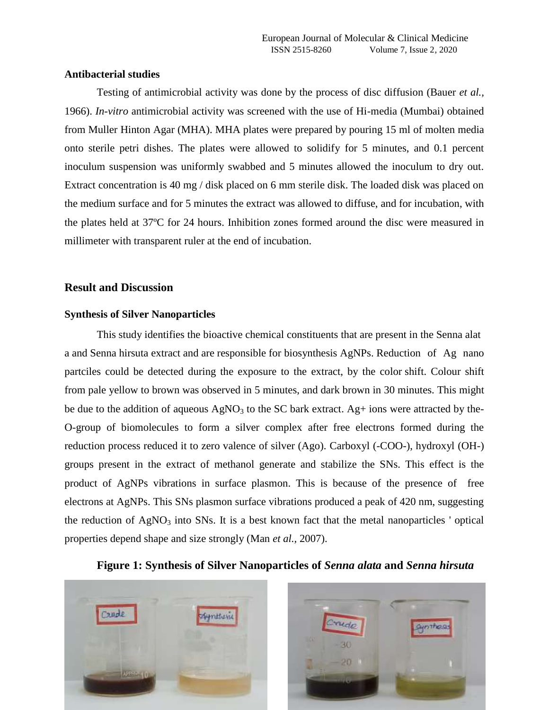### **Antibacterial studies**

Testing of antimicrobial activity was done by the process of disc diffusion (Bauer *et al.,* 1966). *In-vitro* antimicrobial activity was screened with the use of Hi-media (Mumbai) obtained from Muller Hinton Agar (MHA). MHA plates were prepared by pouring 15 ml of molten media onto sterile petri dishes. The plates were allowed to solidify for 5 minutes, and 0.1 percent inoculum suspension was uniformly swabbed and 5 minutes allowed the inoculum to dry out. Extract concentration is 40 mg / disk placed on 6 mm sterile disk. The loaded disk was placed on the medium surface and for 5 minutes the extract was allowed to diffuse, and for incubation, with the plates held at 37ºC for 24 hours. Inhibition zones formed around the disc were measured in millimeter with transparent ruler at the end of incubation.

# **Result and Discussion**

## **Synthesis of Silver Nanoparticles**

This study identifies the bioactive chemical constituents that are present in the Senna alat a and Senna hirsuta extract and are responsible for biosynthesis AgNPs. Reduction of Ag nano partciles could be detected during the exposure to the extract, by the color shift. Colour shift from pale yellow to brown was observed in 5 minutes, and dark brown in 30 minutes. This might be due to the addition of aqueous  $AgNO<sub>3</sub>$  to the SC bark extract. Ag+ ions were attracted by the-O-group of biomolecules to form a silver complex after free electrons formed during the reduction process reduced it to zero valence of silver (Ago). Carboxyl (-COO-), hydroxyl (OH-) groups present in the extract of methanol generate and stabilize the SNs. This effect is the product of AgNPs vibrations in surface plasmon. This is because of the presence of free electrons at AgNPs. This SNs plasmon surface vibrations produced a peak of 420 nm, suggesting the reduction of  $AgNO<sub>3</sub>$  into SNs. It is a best known fact that the metal nanoparticles ' optical properties depend shape and size strongly (Man *et al.,* 2007).

# **Figure 1: Synthesis of Silver Nanoparticles of** *Senna alata* **and** *Senna hirsuta*



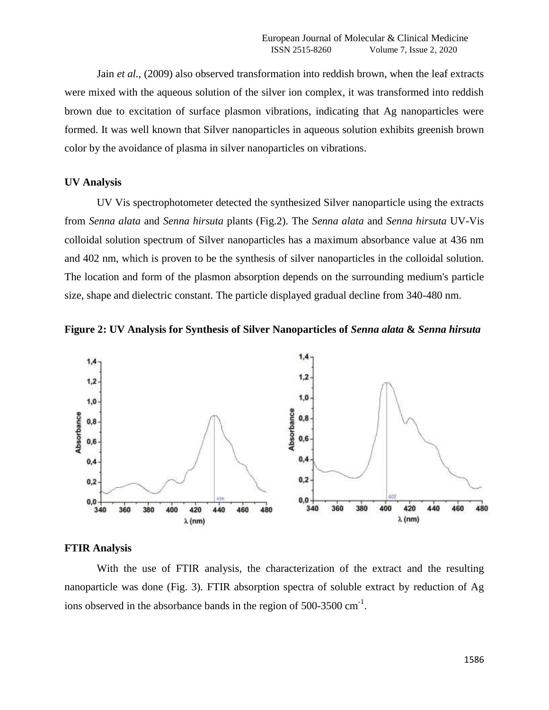Jain *et al.,* (2009) also observed transformation into reddish brown, when the leaf extracts were mixed with the aqueous solution of the silver ion complex, it was transformed into reddish brown due to excitation of surface plasmon vibrations, indicating that Ag nanoparticles were formed. It was well known that Silver nanoparticles in aqueous solution exhibits greenish brown color by the avoidance of plasma in silver nanoparticles on vibrations.

#### **UV Analysis**

UV Vis spectrophotometer detected the synthesized Silver nanoparticle using the extracts from *Senna alata* and *Senna hirsuta* plants (Fig.2). The *Senna alata* and *Senna hirsuta* UV-Vis colloidal solution spectrum of Silver nanoparticles has a maximum absorbance value at 436 nm and 402 nm, which is proven to be the synthesis of silver nanoparticles in the colloidal solution. The location and form of the plasmon absorption depends on the surrounding medium's particle size, shape and dielectric constant. The particle displayed gradual decline from 340-480 nm.





### **FTIR Analysis**

With the use of FTIR analysis, the characterization of the extract and the resulting nanoparticle was done (Fig. 3). FTIR absorption spectra of soluble extract by reduction of Ag ions observed in the absorbance bands in the region of  $500-3500 \text{ cm}^{-1}$ .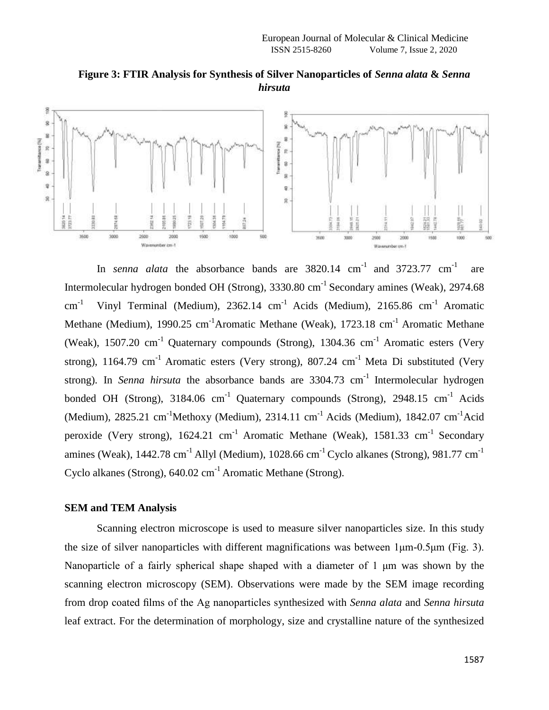

**Figure 3: FTIR Analysis for Synthesis of Silver Nanoparticles of** *Senna alata* **&** *Senna hirsuta*

In *senna alata* the absorbance bands are  $3820.14$  cm<sup>-1</sup> and  $3723.77$  cm<sup>-1</sup> are Intermolecular hydrogen bonded OH (Strong), 3330.80 cm<sup>-1</sup> Secondary amines (Weak), 2974.68  $cm^{-1}$ <sup>-1</sup> Vinyl Terminal (Medium), 2362.14 cm<sup>-1</sup> Acids (Medium), 2165.86 cm<sup>-1</sup> Aromatic Methane (Medium), 1990.25 cm<sup>-1</sup>Aromatic Methane (Weak), 1723.18 cm<sup>-1</sup> Aromatic Methane (Weak), 1507.20 cm<sup>-1</sup> Quaternary compounds (Strong), 1304.36 cm<sup>-1</sup> Aromatic esters (Very strong), 1164.79 cm<sup>-1</sup> Aromatic esters (Very strong), 807.24 cm<sup>-1</sup> Meta Di substituted (Very strong). In *Senna hirsuta* the absorbance bands are 3304.73 cm<sup>-1</sup> Intermolecular hydrogen bonded OH (Strong),  $3184.06$  cm<sup>-1</sup> Quaternary compounds (Strong),  $2948.15$  cm<sup>-1</sup> Acids (Medium), 2825.21 cm-1Methoxy (Medium), 2314.11 cm-1 Acids (Medium), 1842.07 cm-1Acid peroxide (Very strong), 1624.21 cm<sup>-1</sup> Aromatic Methane (Weak), 1581.33 cm<sup>-1</sup> Secondary amines (Weak),  $1442.78 \text{ cm}^{-1}$  Allyl (Medium),  $1028.66 \text{ cm}^{-1}$  Cyclo alkanes (Strong),  $981.77 \text{ cm}^{-1}$ Cyclo alkanes (Strong), 640.02 cm<sup>-1</sup> Aromatic Methane (Strong).

# **SEM and TEM Analysis**

Scanning electron microscope is used to measure silver nanoparticles size. In this study the size of silver nanoparticles with different magnifications was between 1μm-0.5μm (Fig. 3). Nanoparticle of a fairly spherical shape shaped with a diameter of 1 μm was shown by the scanning electron microscopy (SEM). Observations were made by the SEM image recording from drop coated films of the Ag nanoparticles synthesized with *Senna alata* and *Senna hirsuta* leaf extract. For the determination of morphology, size and crystalline nature of the synthesized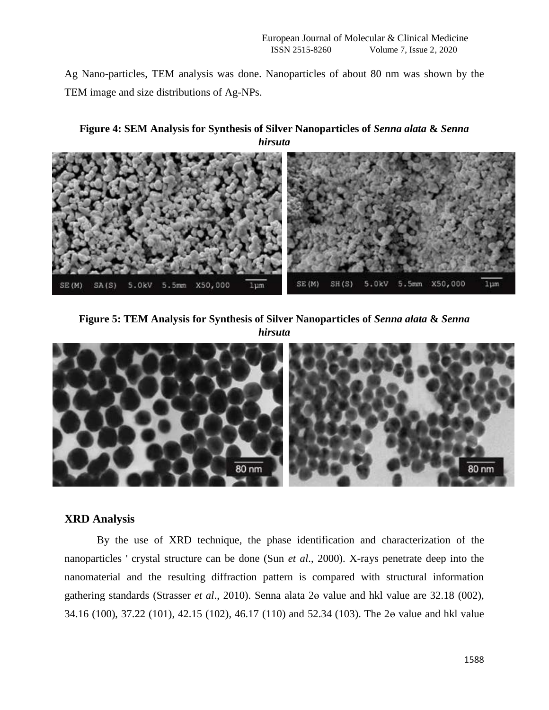Ag Nano-particles, TEM analysis was done. Nanoparticles of about 80 nm was shown by the TEM image and size distributions of Ag-NPs.

**Figure 4: SEM Analysis for Synthesis of Silver Nanoparticles of** *Senna alata* **&** *Senna hirsuta*



**Figure 5: TEM Analysis for Synthesis of Silver Nanoparticles of** *Senna alata* **&** *Senna hirsuta*



# **XRD Analysis**

By the use of XRD technique, the phase identification and characterization of the nanoparticles ' crystal structure can be done (Sun *et al*., 2000). X-rays penetrate deep into the nanomaterial and the resulting diffraction pattern is compared with structural information gathering standards (Strasser *et al*., 2010). Senna alata 2ɵ value and hkl value are 32.18 (002), 34.16 (100), 37.22 (101), 42.15 (102), 46.17 (110) and 52.34 (103). The 2ɵ value and hkl value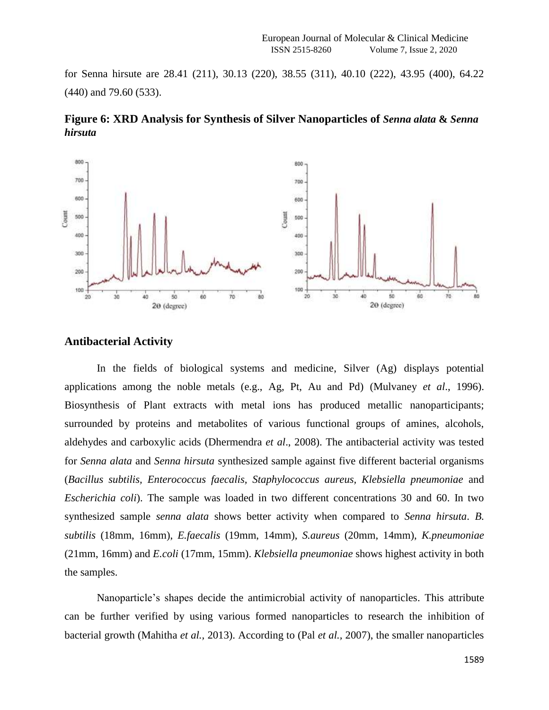for Senna hirsute are 28.41 (211), 30.13 (220), 38.55 (311), 40.10 (222), 43.95 (400), 64.22 (440) and 79.60 (533).



200

100

 $\overline{20}$ 

30

40

 $\overline{50}$ 

20 (degree)

 $60^{\circ}$ 

γö

**Figure 6: XRD Analysis for Synthesis of Silver Nanoparticles of** *Senna alata* **&** *Senna hirsuta*

# **Antibacterial Activity**

 $30$ 

40

šò

 $2\Theta$  (degree)

60

Ý0.

B0

200

100

In the fields of biological systems and medicine, Silver (Ag) displays potential applications among the noble metals (e.g., Ag, Pt, Au and Pd) (Mulvaney *et al*., 1996). Biosynthesis of Plant extracts with metal ions has produced metallic nanoparticipants; surrounded by proteins and metabolites of various functional groups of amines, alcohols, aldehydes and carboxylic acids (Dhermendra *et al*., 2008). The antibacterial activity was tested for *Senna alata* and *Senna hirsuta* synthesized sample against five different bacterial organisms (*Bacillus subtilis, Enterococcus faecalis, Staphylococcus aureus, Klebsiella pneumoniae* and *Escherichia coli*). The sample was loaded in two different concentrations 30 and 60. In two synthesized sample *senna alata* shows better activity when compared to *Senna hirsuta*. *B. subtilis* (18mm, 16mm), *E.faecalis* (19mm, 14mm), *S.aureus* (20mm, 14mm), *K.pneumoniae* (21mm, 16mm) and *E.coli* (17mm, 15mm). *Klebsiella pneumoniae* shows highest activity in both the samples.

Nanoparticle's shapes decide the antimicrobial activity of nanoparticles. This attribute can be further verified by using various formed nanoparticles to research the inhibition of bacterial growth (Mahitha *et al.,* 2013). According to (Pal *et al.,* 2007), the smaller nanoparticles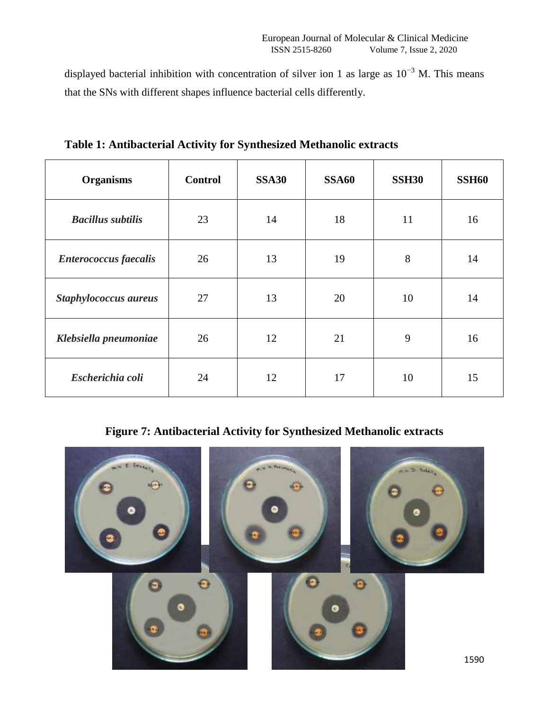displayed bacterial inhibition with concentration of silver ion 1 as large as  $10^{-3}$  M. This means that the SNs with different shapes influence bacterial cells differently.

| <b>Organisms</b>             | <b>Control</b> | <b>SSA30</b> | <b>SSA60</b> | <b>SSH30</b> | <b>SSH60</b> |
|------------------------------|----------------|--------------|--------------|--------------|--------------|
| <b>Bacillus subtilis</b>     | 23             | 14           | 18           | 11           | 16           |
| <b>Enterococcus</b> faecalis | 26             | 13           | 19           | 8            | 14           |
| Staphylococcus aureus        | 27             | 13           | 20           | 10           | 14           |
| Klebsiella pneumoniae        | 26             | 12           | 21           | 9            | 16           |
| Escherichia coli             | 24             | 12           | 17           | 10           | 15           |

**Table 1: Antibacterial Activity for Synthesized Methanolic extracts**

**Figure 7: Antibacterial Activity for Synthesized Methanolic extracts**

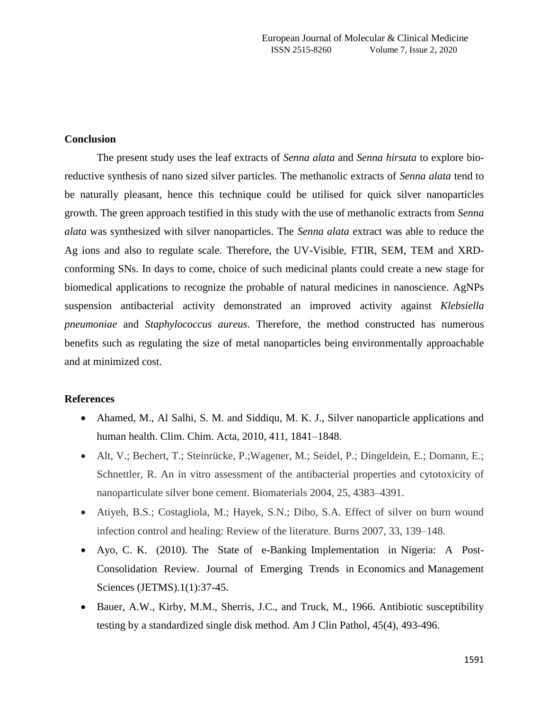# **Conclusion**

The present study uses the leaf extracts of *Senna alata* and *Senna hirsuta* to explore bioreductive synthesis of nano sized silver particles. The methanolic extracts of *Senna alata* tend to be naturally pleasant, hence this technique could be utilised for quick silver nanoparticles growth. The green approach testified in this study with the use of methanolic extracts from *Senna alata* was synthesized with silver nanoparticles. The *Senna alata* extract was able to reduce the Ag ions and also to regulate scale. Therefore, the UV-Visible, FTIR, SEM, TEM and XRDconforming SNs. In days to come, choice of such medicinal plants could create a new stage for biomedical applications to recognize the probable of natural medicines in nanoscience. AgNPs suspension antibacterial activity demonstrated an improved activity against *Klebsiella pneumoniae* and *Staphylococcus aureus*. Therefore, the method constructed has numerous benefits such as regulating the size of metal nanoparticles being environmentally approachable and at minimized cost.

## **References**

- Ahamed, M., Al Salhi, S. M. and Siddiqu, M. K. J., Silver nanoparticle applications and human health. Clim. Chim. Acta, 2010, 411, 1841–1848.
- Alt, V.; Bechert, T.; Steinrücke, P.;Wagener, M.; Seidel, P.; Dingeldein, E.; Domann, E.; Schnettler, R. An in vitro assessment of the antibacterial properties and cytotoxicity of nanoparticulate silver bone cement. Biomaterials 2004, 25, 4383–4391.
- Atiyeh, B.S.; Costagliola, M.; Hayek, S.N.; Dibo, S.A. Effect of silver on burn wound infection control and healing: Review of the literature. Burns 2007, 33, 139–148.
- Ayo, C. K. (2010). The State of e-Banking Implementation in Nigeria: A Post-Consolidation Review. Journal of Emerging Trends in Economics and Management Sciences (JETMS).1(1):37-45.
- Bauer, A.W., Kirby, M.M., Sherris, J.C., and Truck, M., 1966. Antibiotic susceptibility testing by a standardized single disk method. Am J Clin Pathol, 45(4), 493-496.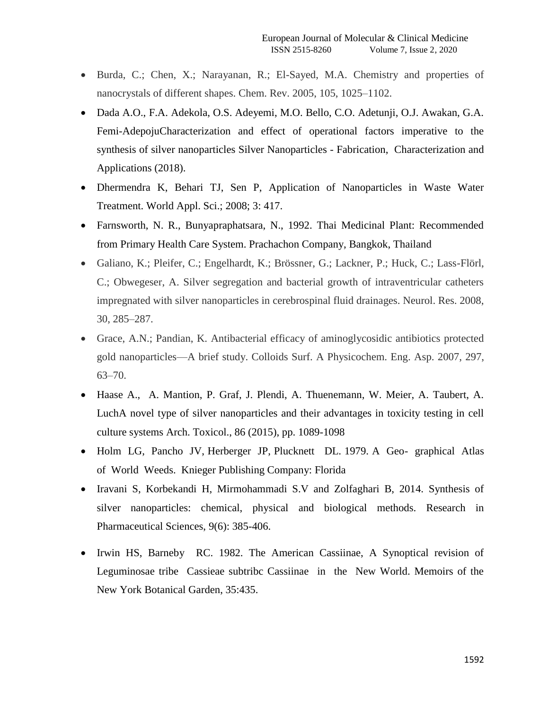- Burda, C.; Chen, X.; Narayanan, R.; El-Sayed, M.A. Chemistry and properties of nanocrystals of different shapes. Chem. Rev. 2005, 105, 1025–1102.
- Dada A.O., F.A. Adekola, O.S. Adeyemi, M.O. Bello, C.O. Adetunji, O.J. Awakan, G.A. Femi-AdepojuCharacterization and effect of operational factors imperative to the synthesis of silver nanoparticles Silver Nanoparticles - Fabrication, Characterization and Applications (2018).
- Dhermendra K, Behari TJ, Sen P, Application of Nanoparticles in Waste Water Treatment. World Appl. Sci.; 2008; 3: 417.
- Farnsworth, N. R., Bunyapraphatsara, N., 1992. Thai Medicinal Plant: Recommended from Primary Health Care System. Prachachon Company, Bangkok, Thailand
- Galiano, K.; Pleifer, C.; Engelhardt, K.; Brössner, G.; Lackner, P.; Huck, C.; Lass-Flörl, C.; Obwegeser, A. Silver segregation and bacterial growth of intraventricular catheters impregnated with silver nanoparticles in cerebrospinal fluid drainages. Neurol. Res. 2008, 30, 285–287.
- Grace, A.N.; Pandian, K. Antibacterial efficacy of aminoglycosidic antibiotics protected gold nanoparticles—A brief study. Colloids Surf. A Physicochem. Eng. Asp. 2007, 297, 63–70.
- Haase A., A. Mantion, P. Graf, J. Plendi, A. Thuenemann, W. Meier, A. Taubert, A. LuchA novel type of silver nanoparticles and their advantages in toxicity testing in cell culture systems Arch. Toxicol., 86 (2015), pp. 1089-1098
- Holm LG, Pancho JV, Herberger JP, Plucknett DL. 1979. A Geo- graphical Atlas of World Weeds. Knieger Publishing Company: Florida
- Iravani S, Korbekandi H, Mirmohammadi S.V and Zolfaghari B, 2014. Synthesis of silver nanoparticles: chemical, physical and biological methods. Research in Pharmaceutical Sciences, 9(6): 385-406.
- Irwin HS, Barneby RC. 1982. The American Cassiinae, A Synoptical revision of Leguminosae tribe Cassieae subtribc Cassiinae in the New World. Memoirs of the New York Botanical Garden, 35:435.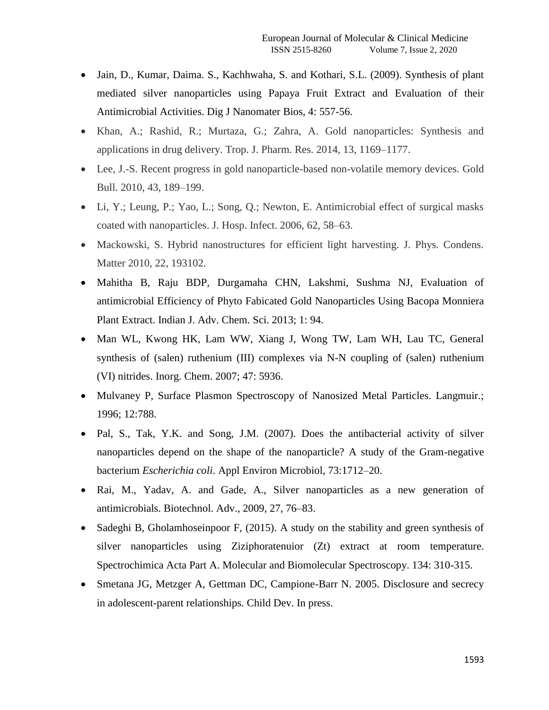- Jain, D., Kumar, Daima, S., Kachhwaha, S. and Kothari, S.L. (2009). Synthesis of plant mediated silver nanoparticles using Papaya Fruit Extract and Evaluation of their Antimicrobial Activities. Dig J Nanomater Bios, 4: 557-56.
- Khan, A.; Rashid, R.; Murtaza, G.; Zahra, A. Gold nanoparticles: Synthesis and applications in drug delivery. Trop. J. Pharm. Res. 2014, 13, 1169–1177.
- Lee, J.-S. Recent progress in gold nanoparticle-based non-volatile memory devices. Gold Bull. 2010, 43, 189–199.
- Li, Y.; Leung, P.; Yao, L.; Song, Q.; Newton, E. Antimicrobial effect of surgical masks coated with nanoparticles. J. Hosp. Infect. 2006, 62, 58–63.
- Mackowski, S. Hybrid nanostructures for efficient light harvesting. J. Phys. Condens. Matter 2010, 22, 193102.
- Mahitha B, Raju BDP, Durgamaha CHN, Lakshmi, Sushma NJ, Evaluation of antimicrobial Efficiency of Phyto Fabicated Gold Nanoparticles Using Bacopa Monniera Plant Extract. Indian J. Adv. Chem. Sci. 2013; 1: 94.
- Man WL, Kwong HK, Lam WW, Xiang J, Wong TW, Lam WH, Lau TC, General synthesis of (salen) ruthenium (III) complexes via N-N coupling of (salen) ruthenium (VI) nitrides. Inorg. Chem. 2007; 47: 5936.
- Mulvaney P, Surface Plasmon Spectroscopy of Nanosized Metal Particles. Langmuir.; 1996; 12:788.
- Pal, S., Tak, Y.K. and Song, J.M. (2007). Does the antibacterial activity of silver nanoparticles depend on the shape of the nanoparticle? A study of the Gram-negative bacterium *Escherichia coli*. Appl Environ Microbiol, 73:1712–20.
- Rai, M., Yadav, A. and Gade, A., Silver nanoparticles as a new generation of antimicrobials. Biotechnol. Adv., 2009, 27, 76–83.
- Sadeghi B, Gholamhoseinpoor F, (2015). A study on the stability and green synthesis of silver nanoparticles using Ziziphoratenuior (Zt) extract at room temperature. Spectrochimica Acta Part A. Molecular and Biomolecular Spectroscopy. 134: 310-315.
- Smetana JG, Metzger A, Gettman DC, Campione-Barr N. 2005. Disclosure and secrecy in adolescent-parent relationships. Child Dev. In press.